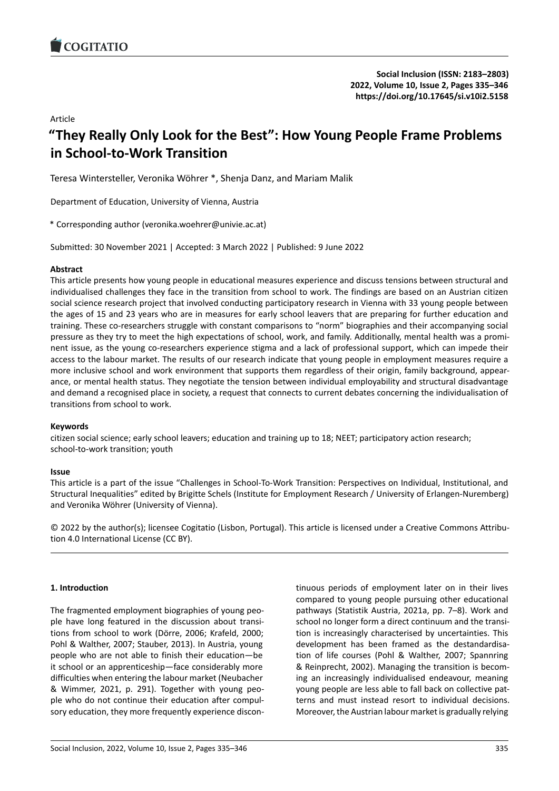# Article

# **"They Really Only Look for the Best": How Young [People Frame Problems](https://doi.org/10.17645/si.v10i2.5158) in School‐to‐Work Transition**

Teresa Wintersteller, Veronika Wöhrer \*, Shenja Danz, and Mariam Malik

Department of Education, University of Vienna, Austria

\* Corresponding author (veronika.woehrer@univie.ac.at)

Submitted: 30 November 2021 | Accepted: 3 March 2022 | Published: 9 June 2022

### **Abstract**

This article presents how young people in educational measures experience and discuss tensions between structural and individualised challenges they face in the transition from school to work. The findings are based on an Austrian citizen social science research project that involved conducting participatory research in Vienna with 33 young people between the ages of 15 and 23 years who are in measures for early school leavers that are preparing for further education and training. These co-researchers struggle with constant comparisons to "norm" biographies and their accompanying social pressure as they try to meet the high expectations of school, work, and family. Additionally, mental health was a prominent issue, as the young co-researchers experience stigma and a lack of professional support, which can impede their access to the labour market. The results of our research indicate that young people in employment measures require a more inclusive school and work environment that supports them regardless of their origin, family background, appearance, or mental health status. They negotiate the tension between individual employability and structural disadvantage and demand a recognised place in society, a request that connects to current debates concerning the individualisation of transitions from school to work.

# **Keywords**

citizen social science; early school leavers; education and training up to 18; NEET; participatory action research; school-to-work transition; youth

### **Issue**

This article is a part of the issue "Challenges in School‐To‐Work Transition: Perspectives on Individual, Institutional, and Structural Inequalities" edited by Brigitte Schels (Institute for Employment Research / University of Erlangen‐Nuremberg) and Veronika Wöhrer (University of Vienna).

© 2022 by the author(s); licensee Cogitatio (Lisbon, Portugal). This article is licensed under a Creative Commons Attribu‐ tion 4.0 International License (CC BY).

# **1. Introduction**

The fragmented employment biographies of young peo‐ ple have long featured in the discussion about transi‐ tions from school to work (Dörre, 2006; Krafeld, 2000; Pohl & Walther, 2007; Stauber, 2013). In Austria, young people who are not able to finish their education—be it school or an apprenticeship—face considerably more difficulties when entering the labour market (Neubacher & Wimmer, 2021, p. 291). Together with young peo‐ ple who do not continue their education after compul‐ sory education, they more frequently experience discon‐ tinuous periods of employment later on in their lives compared to young people pursuing other educational pathways (Statistik Austria, 2021a, pp. 7–8). Work and school no longer form a direct continuum and the transi‐ tion is increasingly characterised by uncertainties. This development has been framed as the destandardisa‐ tion of life courses (Pohl & Walther, 2007; Spannring & Reinprecht, 2002). Managing the transition is becom‐ ing an increasingly individualised endeavour, meaning young people are less able to fall back on collective pat‐ terns and must instead resort to individual decisions. Moreover, the Austrian labour market is gradually relying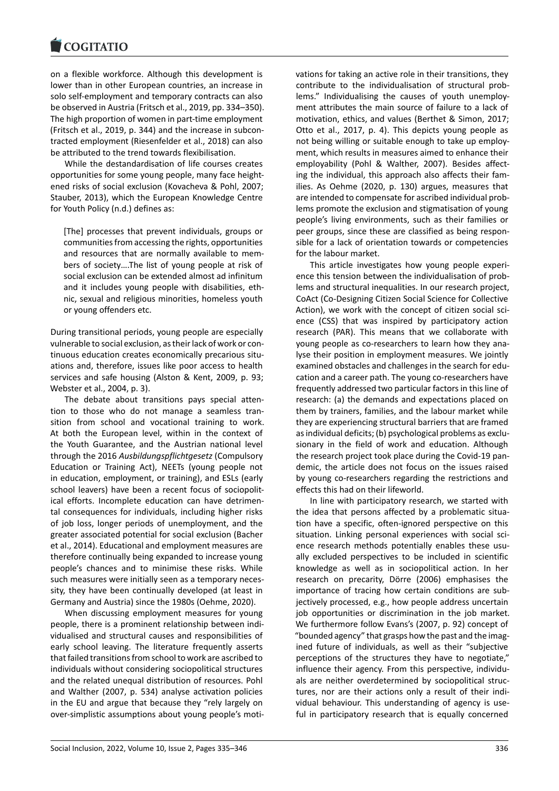on a flexible workforce. Although this development is [lower than in other](https://www.cogitatiopress.com) European countries, an increase in solo self-employment and temporary contracts can also be observed in Austria (Fritsch et al., 2019, pp. 334–350). The high proportion of women in part‐time employment (Fritsch et al., 2019, p. 344) and the increase in subcon‐ tracted employment (Riesenfelder et al., 2018) can also be attributed to the trend towards flexibilisation.

While the destandardisation of life courses creates opportunities for some young people, many face height‐ ened risks of social exclusion (Kovacheva & Pohl, 2007; Stauber, 2013), which the European Knowledge Centre for Youth Policy (n.d.) defines as:

[The] processes that prevent individuals, groups or communities from accessing the rights, opportunities and resources that are normally available to mem‐ bers of society….The list of young people at risk of social exclusion can be extended almost ad infinitum and it includes young people with disabilities, eth‐ nic, sexual and religious minorities, homeless youth or young offenders etc.

During transitional periods, young people are especially vulnerable to social exclusion, as their lack of work or con‐ tinuous education creates economically precarious situ‐ ations and, therefore, issues like poor access to health services and safe housing (Alston & Kent, 2009, p. 93; Webster et al., 2004, p. 3).

The debate about transitions pays special atten‐ tion to those who do not manage a seamless tran‐ sition from school and vocational training to work. At both the European level, within in the context of the Youth Guarantee, and the Austrian national level through the 2016 *Ausbildungspflichtgesetz* (Compulsory Education or Training Act), NEETs (young people not in education, employment, or training), and ESLs (early school leavers) have been a recent focus of sociopolitical efforts. Incomplete education can have detrimental consequences for individuals, including higher risks of job loss, longer periods of unemployment, and the greater associated potential for social exclusion (Bacher et al., 2014). Educational and employment measures are therefore continually being expanded to increase young people's chances and to minimise these risks. While such measures were initially seen as a temporary necessity, they have been continually developed (at least in Germany and Austria) since the 1980s (Oehme, 2020).

When discussing employment measures for young people, there is a prominent relationship between indi‐ vidualised and structural causes and responsibilities of early school leaving. The literature frequently asserts that failed transitions from school to work are ascribed to individuals without considering sociopolitical structures and the related unequal distribution of resources. Pohl and Walther (2007, p. 534) analyse activation policies in the EU and argue that because they "rely largely on over‐simplistic assumptions about young people's moti‐ vations for taking an active role in their transitions, they contribute to the individualisation of structural prob‐ lems." Individualising the causes of youth unemploy‐ ment attributes the main source of failure to a lack of motivation, ethics, and values (Berthet & Simon, 2017; Otto et al., 2017, p. 4). This depicts young people as not being willing or suitable enough to take up employ‐ ment, which results in measures aimed to enhance their employability (Pohl & Walther, 2007). Besides affecting the individual, this approach also affects their fam‐ ilies. As Oehme (2020, p. 130) argues, measures that are intended to compensate for ascribed individual prob‐ lems promote the exclusion and stigmatisation of young people's living environments, such as their families or peer groups, since these are classified as being respon‐ sible for a lack of orientation towards or competencies for the labour market.

This article investigates how young people experi‐ ence this tension between the individualisation of prob‐ lems and structural inequalities. In our research project, CoAct (Co‐Designing Citizen Social Science for Collective Action), we work with the concept of citizen social science (CSS) that was inspired by participatory action research (PAR). This means that we collaborate with young people as co-researchers to learn how they analyse their position in employment measures. We jointly examined obstacles and challenges in the search for edu‐ cation and a career path. The young co-researchers have frequently addressed two particular factors in this line of research: (a) the demands and expectations placed on them by trainers, families, and the labour market while they are experiencing structural barriers that are framed as individual deficits; (b) psychological problems as exclu‐ sionary in the field of work and education. Although the research project took place during the Covid‐19 pan‐ demic, the article does not focus on the issues raised by young co-researchers regarding the restrictions and effects this had on their lifeworld.

In line with participatory research, we started with the idea that persons affected by a problematic situation have a specific, often‐ignored perspective on this situation. Linking personal experiences with social science research methods potentially enables these usually excluded perspectives to be included in scientific knowledge as well as in sociopolitical action. In her research on precarity, Dörre (2006) emphasises the importance of tracing how certain conditions are subjectively processed, e.g., how people address uncertain job opportunities or discrimination in the job market. We furthermore follow Evans's (2007, p. 92) concept of "bounded agency" that grasps how the past and the imag‐ ined future of individuals, as well as their "subjective perceptions of the structures they have to negotiate," influence their agency. From this perspective, individuals are neither overdetermined by sociopolitical structures, nor are their actions only a result of their indi‐ vidual behaviour. This understanding of agency is use‐ ful in participatory research that is equally concerned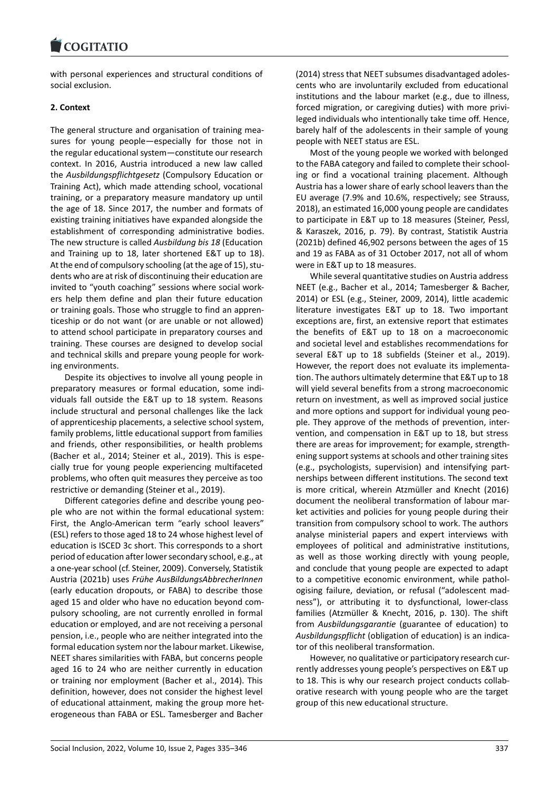### **COMMITMENT**

with personal experiences and structural conditions of [social exclusion.](https://www.cogitatiopress.com)

# **2. Context**

The general structure and organisation of training mea‐ sures for young people—especially for those not in the regular educational system—constitute our research context. In 2016, Austria introduced a new law called the *Ausbildungspflichtgesetz* (Compulsory Education or Training Act), which made attending school, vocational training, or a preparatory measure mandatory up until the age of 18. Since 2017, the number and formats of existing training initiatives have expanded alongside the establishment of corresponding administrative bodies. The new structure is called *Ausbildung bis 18* (Education and Training up to 18, later shortened E&T up to 18). At the end of compulsory schooling (at the age of 15), stu‐ dents who are at risk of discontinuing their education are invited to "youth coaching" sessions where social work‐ ers help them define and plan their future education or training goals. Those who struggle to find an appren‐ ticeship or do not want (or are unable or not allowed) to attend school participate in preparatory courses and training. These courses are designed to develop social and technical skills and prepare young people for work‐ ing environments.

Despite its objectives to involve all young people in preparatory measures or formal education, some indi‐ viduals fall outside the E&T up to 18 system. Reasons include structural and personal challenges like the lack of apprenticeship placements, a selective school system, family problems, little educational support from families and friends, other responsibilities, or health problems (Bacher et al., 2014; Steiner et al., 2019). This is espe‐ cially true for young people experiencing multifaceted problems, who often quit measures they perceive as too restrictive or demanding (Steiner et al., 2019).

Different categories define and describe young peo‐ ple who are not within the formal educational system: First, the Anglo-American term "early school leavers" (ESL) refers to those aged 18 to 24 whose highest level of education is ISCED 3c short. This corresponds to a short period of education after lower secondary school, e.g., at a one‐year school (cf. Steiner, 2009). Conversely, Statistik Austria (2021b) uses *Frühe AusBildungsAbbrecherInnen* (early education dropouts, or FABA) to describe those aged 15 and older who have no education beyond com‐ pulsory schooling, are not currently enrolled in formal education or employed, and are not receiving a personal pension, i.e., people who are neither integrated into the formal education system nor the labour market. Likewise, NEET shares similarities with FABA, but concerns people aged 16 to 24 who are neither currently in education or training nor employment (Bacher et al., 2014). This definition, however, does not consider the highest level of educational attainment, making the group more het‐ erogeneous than FABA or ESL. Tamesberger and Bacher (2014) stress that NEET subsumes disadvantaged adoles‐ cents who are involuntarily excluded from educational institutions and the labour market (e.g., due to illness, forced migration, or caregiving duties) with more privi‐ leged individuals who intentionally take time off. Hence, barely half of the adolescents in their sample of young people with NEET status are ESL.

Most of the young people we worked with belonged to the FABA category and failed to complete their school‐ ing or find a vocational training placement. Although Austria has a lower share of early school leavers than the EU average (7.9% and 10.6%, respectively; see Strauss, 2018), an estimated 16,000 young people are candidates to participate in E&T up to 18 measures (Steiner, Pessl, & Karaszek, 2016, p. 79). By contrast, Statistik Austria (2021b) defined 46,902 persons between the ages of 15 and 19 as FABA as of 31 October 2017, not all of whom were in E&T up to 18 measures.

While several quantitative studies on Austria address NEET (e.g., Bacher et al., 2014; Tamesberger & Bacher, 2014) or ESL (e.g., Steiner, 2009, 2014), little academic literature investigates E&T up to 18. Two important exceptions are, first, an extensive report that estimates the benefits of E&T up to 18 on a macroeconomic and societal level and establishes recommendations for several E&T up to 18 subfields (Steiner et al., 2019). However, the report does not evaluate its implementa‐ tion. The authors ultimately determine that E&T up to 18 will yield several benefits from a strong macroeconomic return on investment, as well as improved social justice and more options and support for individual young peo‐ ple. They approve of the methods of prevention, intervention, and compensation in E&T up to 18, but stress there are areas for improvement; for example, strength‐ ening support systems at schools and other training sites (e.g., psychologists, supervision) and intensifying part‐ nerships between different institutions. The second text is more critical, wherein Atzmüller and Knecht (2016) document the neoliberal transformation of labour mar‐ ket activities and policies for young people during their transition from compulsory school to work. The authors analyse ministerial papers and expert interviews with employees of political and administrative institutions, as well as those working directly with young people, and conclude that young people are expected to adapt to a competitive economic environment, while pathol‐ ogising failure, deviation, or refusal ("adolescent mad‐ ness"), or attributing it to dysfunctional, lower‐class families (Atzmüller & Knecht, 2016, p. 130). The shift from *Ausbildungsgarantie* (guarantee of education) to *Ausbildungspflicht* (obligation of education) is an indica‐ tor of this neoliberal transformation.

However, no qualitative or participatory research cur‐ rently addresses young people's perspectives on E&T up to 18. This is why our research project conducts collab‐ orative research with young people who are the target group of this new educational structure.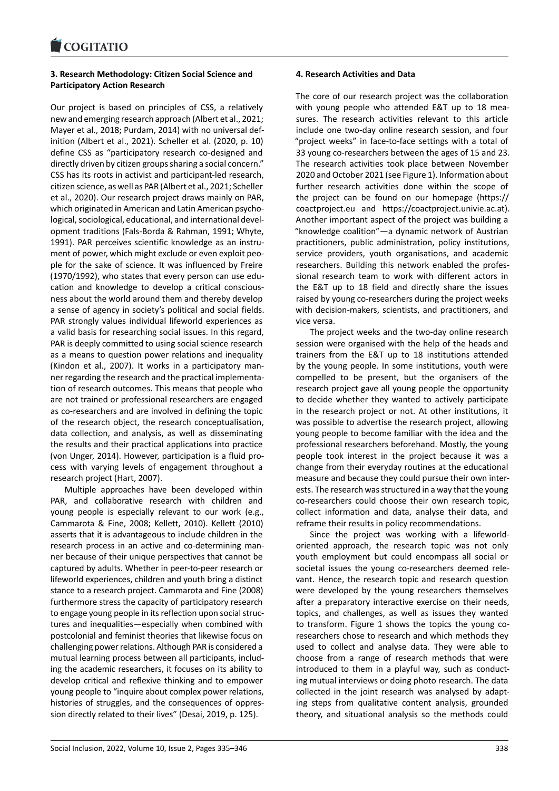## **3. Research Methodology: Citizen Social Science and [Participatory Action](https://www.cogitatiopress.com) Research**

Our project is based on principles of CSS, a relatively new and emerging research approach (Albert et al., 2021; Mayer et al., 2018; Purdam, 2014) with no universal def‐ inition (Albert et al., 2021). Scheller et al. (2020, p. 10) define CSS as "participatory research co‐designed and directly driven by citizen groups sharing a social concern." CSS has its roots in activist and participant‐led research, citizen science, as well as PAR (Albert et al., 2021; Scheller et al., 2020). Our research project draws mainly on PAR, which originated in American and Latin American psychological, sociological, educational, and international devel‐ opment traditions (Fals‐Borda & Rahman, 1991; Whyte, 1991). PAR perceives scientific knowledge as an instru‐ ment of power, which might exclude or even exploit peo‐ ple for the sake of science. It was influenced by Freire (1970/1992), who states that every person can use edu‐ cation and knowledge to develop a critical conscious‐ ness about the world around them and thereby develop a sense of agency in society's political and social fields. PAR strongly values individual lifeworld experiences as a valid basis for researching social issues. In this regard, PAR is deeply committed to using social science research as a means to question power relations and inequality (Kindon et al., 2007). It works in a participatory man‐ ner regarding the research and the practical implementa‐ tion of research outcomes. This means that people who are not trained or professional researchers are engaged as co-researchers and are involved in defining the topic of the research object, the research conceptualisation, data collection, and analysis, as well as disseminating the results and their practical applications into practice (von Unger, 2014). However, participation is a fluid pro‐ cess with varying levels of engagement throughout a research project (Hart, 2007).

Multiple approaches have been developed within PAR, and collaborative research with children and young people is especially relevant to our work (e.g., Cammarota & Fine, 2008; Kellett, 2010). Kellett (2010) asserts that it is advantageous to include children in the research process in an active and co-determining manner because of their unique perspectives that cannot be captured by adults. Whether in peer‐to‐peer research or lifeworld experiences, children and youth bring a distinct stance to a research project. Cammarota and Fine (2008) furthermore stress the capacity of participatory research to engage young people in its reflection upon social struc‐ tures and inequalities—especially when combined with postcolonial and feminist theories that likewise focus on challenging power relations. Although PAR is considered a mutual learning process between all participants, includ‐ ing the academic researchers, it focuses on its ability to develop critical and reflexive thinking and to empower young people to "inquire about complex power relations, histories of struggles, and the consequences of oppres‐ sion directly related to their lives" (Desai, 2019, p. 125).

### **4. Research Activities and Data**

The core of our research project was the collaboration with young people who attended E&T up to 18 measures. The research activities relevant to this article include one two‐day online research session, and four "project weeks" in face‐to‐face settings with a total of 33 young co‐researchers between the ages of 15 and 23. The research activities took place between November 2020 and October 2021 (see Figure 1). Information about further research activities done within the scope of the project can be found on our homepage (https:// coactproject.eu and https://coactproject.univie.ac.at). Another important aspect of the project was building a "knowledge coalition"—a dynamic network of Austrian practitioners, public administration, policy inst[itutions,](https://coactproject.eu) [service provide](https://coactproject.eu)rs, yo[uth organisations, and academic](https://coactproject.univie.ac.at) researchers. Building this network enabled the profes‐ sional research team to work with different actors in the E&T up to 18 field and directly share the issues raised by young co-researchers during the project weeks with decision‐makers, scientists, and practitioners, and vice versa.

The project weeks and the two-day online research session were organised with the help of the heads and trainers from the E&T up to 18 institutions attended by the young people. In some institutions, youth were compelled to be present, but the organisers of the research project gave all young people the opportunity to decide whether they wanted to actively participate in the research project or not. At other institutions, it was possible to advertise the research project, allowing young people to become familiar with the idea and the professional researchers beforehand. Mostly, the young people took interest in the project because it was a change from their everyday routines at the educational measure and because they could pursue their own inter‐ ests. The research was structured in a way that the young co-researchers could choose their own research topic, collect information and data, analyse their data, and reframe their results in policy recommendations.

Since the project was working with a lifeworld‐ oriented approach, the research topic was not only youth employment but could encompass all social or societal issues the young co-researchers deemed relevant. Hence, the research topic and research question were developed by the young researchers themselves after a preparatory interactive exercise on their needs, topics, and challenges, as well as issues they wanted to transform. Figure 1 shows the topics the young co‐ researchers chose to research and which methods they used to collect and analyse data. They were able to choose from a range of research methods that were introduced to them in a playful way, such as conducting mutual interviews or doing photo research. The data collected in the joint research was analysed by adapt‐ ing steps from qualitative content analysis, grounded theory, and situational analysis so the methods could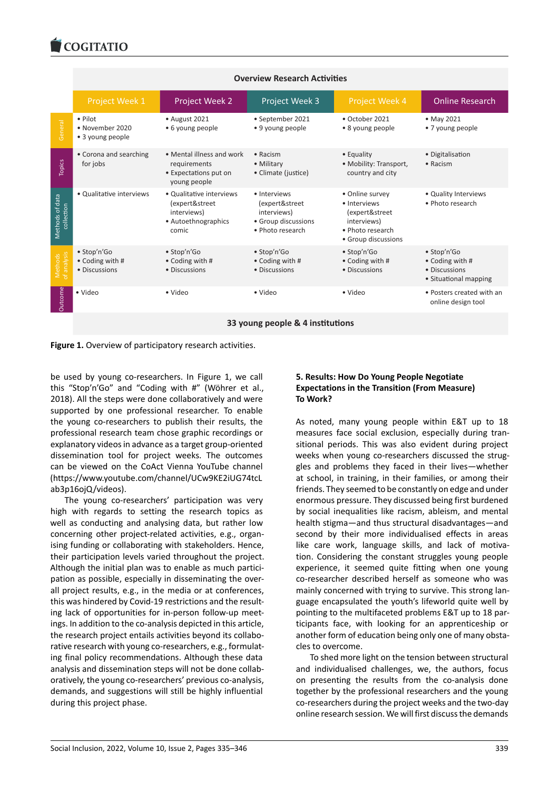#### COQUATIO

|                               | <b>Overview Research Activities</b>             |                                                                                           |                                                                                          |                                                                                                             |                                                                          |  |
|-------------------------------|-------------------------------------------------|-------------------------------------------------------------------------------------------|------------------------------------------------------------------------------------------|-------------------------------------------------------------------------------------------------------------|--------------------------------------------------------------------------|--|
|                               | Project Week 1                                  | Project Week 2                                                                            | Project Week 3                                                                           | Project Week 4                                                                                              | <b>Online Research</b>                                                   |  |
| General                       | • Pilot<br>• November 2020<br>• 3 young people  | • August 2021<br>• 6 young people                                                         | • September 2021<br>• 9 young people                                                     | $\bullet$ October 2021<br>• 8 young people                                                                  | • May 2021<br>• 7 young people                                           |  |
| Topics                        | • Corona and searching<br>for jobs              | • Mental illness and work<br>requirements<br>• Expectations put on<br>young people        | $\bullet$ Racism<br>• Military<br>• Climate (justice)                                    | • Equality<br>• Mobility: Transport,<br>country and city                                                    | • Digitalisation<br>$\bullet$ Racism                                     |  |
| Methods of data<br>collection | • Qualitative interviews                        | • Qualitative interviews<br>(expert&street<br>interviews)<br>· Autoethnographics<br>comic | · Interviews<br>(expert&street<br>interviews)<br>• Group discussions<br>· Photo research | • Online survey<br>· Interviews<br>(expert&street<br>interviews)<br>· Photo research<br>• Group discussions | • Quality Interviews<br>· Photo research                                 |  |
| Viethods                      | · Stop'n'Go<br>• Coding with #<br>• Discussions | · Stop'n'Go<br>• Coding with #<br>• Discussions                                           | · Stop'n'Go<br>• Coding with #<br>• Discussions                                          | · Stop'n'Go<br>• Coding with #<br>• Discussions                                                             | • Stop'n'Go<br>• Coding with #<br>• Discussions<br>• Situational mapping |  |
| <b>Outcome</b>                | · Video                                         | • Video                                                                                   | · Video                                                                                  | · Video                                                                                                     | . Posters created with an<br>online design tool                          |  |
|                               | 33 young people & 4 institutions                |                                                                                           |                                                                                          |                                                                                                             |                                                                          |  |

**Figure 1.** Overview of participatory research activities.

be used by young co-researchers. In Figure 1, we call this "Stop'n'Go" and "Coding with #" (Wöhrer et al., 2018). All the steps were done collaboratively and were supported by one professional researcher. To enable the young co‐researchers to publish their results, the professional research team chose graphic recordings or explanatory videos in advance as a target group‐oriented dissemination tool for project weeks. The outcomes can be viewed on the CoAct Vienna YouTube channel (https://www.youtube.com/channel/UCw9KE2iUG74tcL ab3p16ojQ/videos).

The young co-researchers' participation was very high with regards to setting the research topics as [well as conducting and analysing data, but rather low](https://www.youtube.com/channel/UCw9KE2iUG74tcLab3p16ojQ/videos) [concerning other p](https://www.youtube.com/channel/UCw9KE2iUG74tcLab3p16ojQ/videos)roject‐related activities, e.g., organ‐ ising funding or collaborating with stakeholders. Hence, their participation levels varied throughout the project. Although the initial plan was to enable as much partici‐ pation as possible, especially in disseminating the over‐ all project results, e.g., in the media or at conferences, this was hindered by Covid‐19 restrictions and the result‐ ing lack of opportunities for in‐person follow‐up meet‐ ings. In addition to the co-analysis depicted in this article, the research project entails activities beyond its collabo‐ rative research with young co-researchers, e.g., formulating final policy recommendations. Although these data analysis and dissemination steps will not be done collab‐ oratively, the young co‐researchers' previous co‐analysis, demands, and suggestions will still be highly influential during this project phase.

# **5. Results: How Do Young People Negotiate Expectations in the Transition (From Measure) To Work?**

As noted, many young people within E&T up to 18 measures face social exclusion, especially during tran‐ sitional periods. This was also evident during project weeks when young co-researchers discussed the struggles and problems they faced in their lives—whether at school, in training, in their families, or among their friends. They seemed to be constantly on edge and under enormous pressure. They discussed being first burdened by social inequalities like racism, ableism, and mental health stigma—and thus structural disadvantages—and second by their more individualised effects in areas like care work, language skills, and lack of motivation. Considering the constant struggles young people experience, it seemed quite fitting when one young co-researcher described herself as someone who was mainly concerned with trying to survive. This strong lan‐ guage encapsulated the youth's lifeworld quite well by pointing to the multifaceted problems E&T up to 18 par‐ ticipants face, with looking for an apprenticeship or another form of education being only one of many obstacles to overcome.

To shed more light on the tension between structural and individualised challenges, we, the authors, focus on presenting the results from the co-analysis done together by the professional researchers and the young co‐researchers during the project weeks and the two‐day online research session. We will first discuss the demands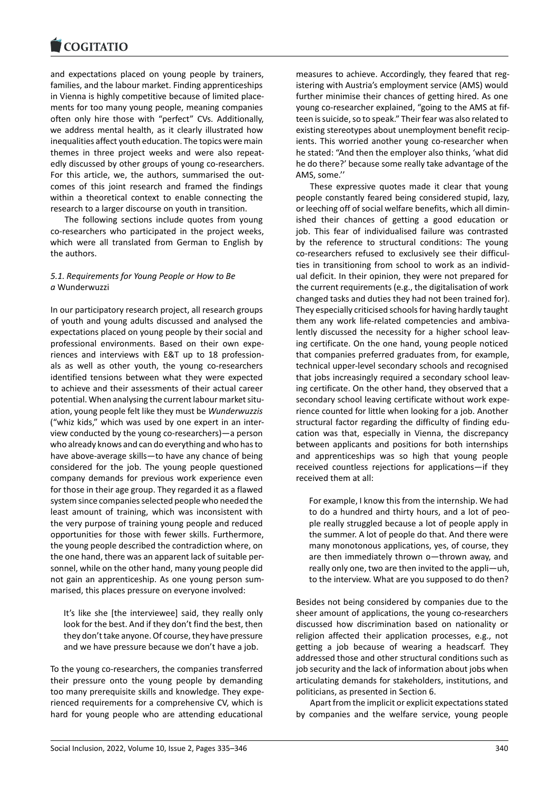#### **LOGITATIO**

and expectations placed on young people by trainers, [families, and the labo](https://www.cogitatiopress.com)ur market. Finding apprenticeships in Vienna is highly competitive because of limited place‐ ments for too many young people, meaning companies often only hire those with "perfect" CVs. Additionally, we address mental health, as it clearly illustrated how inequalities affect youth education. The topics were main themes in three project weeks and were also repeat‐ edly discussed by other groups of young co-researchers. For this article, we, the authors, summarised the outcomes of this joint research and framed the findings within a theoretical context to enable connecting the research to a larger discourse on youth in transition.

The following sections include quotes from young co‐researchers who participated in the project weeks, which were all translated from German to English by the authors.

# *5.1. Requirements for Young People or How to Be a* Wunderwuzzi

In our participatory research project, all research groups of youth and young adults discussed and analysed the expectations placed on young people by their social and professional environments. Based on their own experiences and interviews with E&T up to 18 profession‐ als as well as other youth, the young co-researchers identified tensions between what they were expected to achieve and their assessments of their actual career potential. When analysing the current labour market situation, young people felt like they must be *Wunderwuzzis* ("whiz kids," which was used by one expert in an inter‐ view conducted by the young co‐researchers)—a person who already knows and can do everything and who has to have above‐average skills—to have any chance of being considered for the job. The young people questioned company demands for previous work experience even for those in their age group. They regarded it as a flawed system since companies selected people who needed the least amount of training, which was inconsistent with the very purpose of training young people and reduced opportunities for those with fewer skills. Furthermore, the young people described the contradiction where, on the one hand, there was an apparent lack of suitable per‐ sonnel, while on the other hand, many young people did not gain an apprenticeship. As one young person sum‐ marised, this places pressure on everyone involved:

It's like she [the interviewee] said, they really only look for the best. And if they don't find the best, then they don't take anyone. Of course, they have pressure and we have pressure because we don't have a job.

To the young co‐researchers, the companies transferred their pressure onto the young people by demanding too many prerequisite skills and knowledge. They expe‐ rienced requirements for a comprehensive CV, which is hard for young people who are attending educational measures to achieve. Accordingly, they feared that registering with Austria's employment service (AMS) would further minimise their chances of getting hired. As one young co-researcher explained, "going to the AMS at fifteen is suicide, so to speak." Their fear was also related to existing stereotypes about unemployment benefit recip‐ ients. This worried another young co-researcher when he stated: "And then the employer also thinks, 'what did he do there?' because some really take advantage of the AMS, some.''

These expressive quotes made it clear that young people constantly feared being considered stupid, lazy, or leeching off of social welfare benefits, which all dimin‐ ished their chances of getting a good education or job. This fear of individualised failure was contrasted by the reference to structural conditions: The young co-researchers refused to exclusively see their difficulties in transitioning from school to work as an individ‐ ual deficit. In their opinion, they were not prepared for the current requirements (e.g., the digitalisation of work changed tasks and duties they had not been trained for). They especially criticised schools for having hardly taught them any work life-related competencies and ambivalently discussed the necessity for a higher school leaving certificate. On the one hand, young people noticed that companies preferred graduates from, for example, technical upper‐level secondary schools and recognised that jobs increasingly required a secondary school leav‐ ing certificate. On the other hand, they observed that a secondary school leaving certificate without work expe‐ rience counted for little when looking for a job. Another structural factor regarding the difficulty of finding edu‐ cation was that, especially in Vienna, the discrepancy between applicants and positions for both internships and apprenticeships was so high that young people received countless rejections for applications—if they received them at all:

For example, I know this from the internship. We had to do a hundred and thirty hours, and a lot of peo‐ ple really struggled because a lot of people apply in the summer. A lot of people do that. And there were many monotonous applications, yes, of course, they are then immediately thrown o—thrown away, and really only one, two are then invited to the appli—uh, to the interview. What are you supposed to do then?

Besides not being considered by companies due to the sheer amount of applications, the young co-researchers discussed how discrimination based on nationality or religion affected their application processes, e.g., not getting a job because of wearing a headscarf. They addressed those and other structural conditions such as job security and the lack of information about jobs when articulating demands for stakeholders, institutions, and politicians, as presented in Section 6.

Apart from the implicit or explicit expectations stated by companies and the welfare service, young people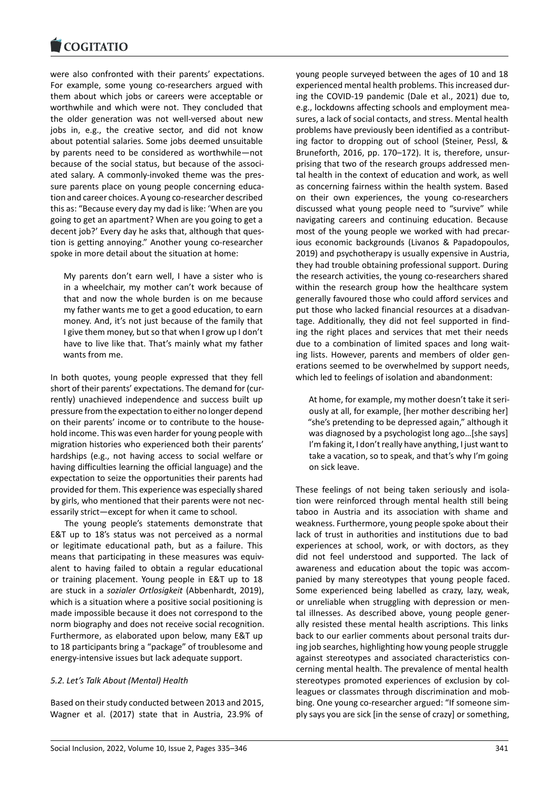were also confronted with their parents' expectations. [For example, some](https://www.cogitatiopress.com) young co-researchers argued with them about which jobs or careers were acceptable or worthwhile and which were not. They concluded that the older generation was not well‐versed about new jobs in, e.g., the creative sector, and did not know about potential salaries. Some jobs deemed unsuitable by parents need to be considered as worthwhile—not because of the social status, but because of the associ‐ ated salary. A commonly‐invoked theme was the pres‐ sure parents place on young people concerning education and career choices. A young co‐researcher described this as: "Because every day my dad is like: 'When are you going to get an apartment? When are you going to get a decent job?' Every day he asks that, although that ques‐ tion is getting annoying." Another young co-researcher spoke in more detail about the situation at home:

My parents don't earn well, I have a sister who is in a wheelchair, my mother can't work because of that and now the whole burden is on me because my father wants me to get a good education, to earn money. And, it's not just because of the family that I give them money, but so that when I grow up I don't have to live like that. That's mainly what my father wants from me.

In both quotes, young people expressed that they fell short of their parents' expectations. The demand for (cur‐ rently) unachieved independence and success built up pressure from the expectation to either no longer depend on their parents' income or to contribute to the house‐ hold income. This was even harder for young people with migration histories who experienced both their parents' hardships (e.g., not having access to social welfare or having difficulties learning the official language) and the expectation to seize the opportunities their parents had provided for them. This experience was especially shared by girls, who mentioned that their parents were not nec‐ essarily strict—except for when it came to school.

The young people's statements demonstrate that E&T up to 18's status was not perceived as a normal or legitimate educational path, but as a failure. This means that participating in these measures was equivalent to having failed to obtain a regular educational or training placement. Young people in E&T up to 18 are stuck in a *sozialer Ortlosigkeit* (Abbenhardt, 2019), which is a situation where a positive social positioning is made impossible because it does not correspond to the norm biography and does not receive social recognition. Furthermore, as elaborated upon below, many E&T up to 18 participants bring a "package" of troublesome and energy‐intensive issues but lack adequate support.

# *5.2. Let's Talk About (Mental) Health*

Based on their study conducted between 2013 and 2015, Wagner et al. (2017) state that in Austria, 23.9% of young people surveyed between the ages of 10 and 18 experienced mental health problems. This increased dur‐ ing the COVID‐19 pandemic (Dale et al., 2021) due to, e.g., lockdowns affecting schools and employment measures, a lack of social contacts, and stress. Mental health problems have previously been identified as a contribut‐ ing factor to dropping out of school (Steiner, Pessl, & Bruneforth, 2016, pp. 170–172). It is, therefore, unsur‐ prising that two of the research groups addressed men‐ tal health in the context of education and work, as well as concerning fairness within the health system. Based on their own experiences, the young co-researchers discussed what young people need to "survive" while navigating careers and continuing education. Because most of the young people we worked with had precar‐ ious economic backgrounds (Livanos & Papadopoulos, 2019) and psychotherapy is usually expensive in Austria, they had trouble obtaining professional support. During the research activities, the young co-researchers shared within the research group how the healthcare system generally favoured those who could afford services and put those who lacked financial resources at a disadvan‐ tage. Additionally, they did not feel supported in find‐ ing the right places and services that met their needs due to a combination of limited spaces and long wait‐ ing lists. However, parents and members of older generations seemed to be overwhelmed by support needs, which led to feelings of isolation and abandonment:

At home, for example, my mother doesn't take it seri‐ ously at all, for example, [her mother describing her] "she's pretending to be depressed again," although it was diagnosed by a psychologist long ago…[she says] I'm faking it, I don't really have anything, I just want to take a vacation, so to speak, and that's why I'm going on sick leave.

These feelings of not being taken seriously and isola‐ tion were reinforced through mental health still being taboo in Austria and its association with shame and weakness. Furthermore, young people spoke about their lack of trust in authorities and institutions due to bad experiences at school, work, or with doctors, as they did not feel understood and supported. The lack of awareness and education about the topic was accom‐ panied by many stereotypes that young people faced. Some experienced being labelled as crazy, lazy, weak, or unreliable when struggling with depression or men‐ tal illnesses. As described above, young people gener‐ ally resisted these mental health ascriptions. This links back to our earlier comments about personal traits dur‐ ing job searches, highlighting how young people struggle against stereotypes and associated characteristics con‐ cerning mental health. The prevalence of mental health stereotypes promoted experiences of exclusion by col‐ leagues or classmates through discrimination and mob‐ bing. One young co‐researcher argued: "If someone sim‐ ply says you are sick [in the sense of crazy] or something,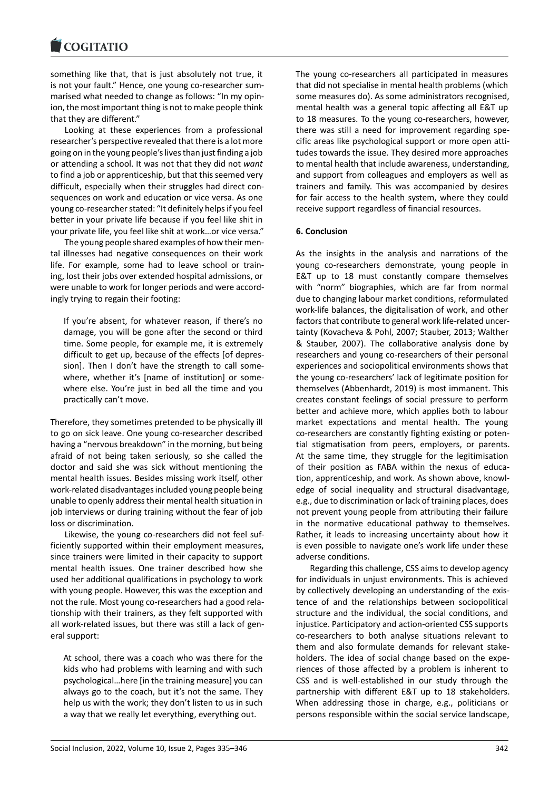#### **LOGITATIO**

something like that, that is just absolutely not true, it [is not your fault." He](https://www.cogitatiopress.com)nce, one young co-researcher summarised what needed to change as follows: "In my opin‐ ion, the most important thing is not to make people think that they are different."

Looking at these experiences from a professional researcher's perspective revealed that there is a lot more going on in the young people's lives than just finding a job or attending a school. It was not that they did not *want* to find a job or apprenticeship, but that this seemed very difficult, especially when their struggles had direct con‐ sequences on work and education or vice versa. As one young co‐researcher stated: "It definitely helps if you feel better in your private life because if you feel like shit in your private life, you feel like shit at work…or vice versa."

The young people shared examples of how their men‐ tal illnesses had negative consequences on their work life. For example, some had to leave school or train‐ ing, lost their jobs over extended hospital admissions, or were unable to work for longer periods and were accord‐ ingly trying to regain their footing:

If you're absent, for whatever reason, if there's no damage, you will be gone after the second or third time. Some people, for example me, it is extremely difficult to get up, because of the effects [of depres‐ sion]. Then I don't have the strength to call somewhere, whether it's [name of institution] or some‐ where else. You're just in bed all the time and you practically can't move.

Therefore, they sometimes pretended to be physically ill to go on sick leave. One young co‐researcher described having a "nervous breakdown" in the morning, but being afraid of not being taken seriously, so she called the doctor and said she was sick without mentioning the mental health issues. Besides missing work itself, other work‐related disadvantages included young people being unable to openly address their mental health situation in job interviews or during training without the fear of job loss or discrimination.

Likewise, the young co‐researchers did not feel suf‐ ficiently supported within their employment measures, since trainers were limited in their capacity to support mental health issues. One trainer described how she used her additional qualifications in psychology to work with young people. However, this was the exception and not the rule. Most young co-researchers had a good relationship with their trainers, as they felt supported with all work‐related issues, but there was still a lack of gen‐ eral support:

At school, there was a coach who was there for the kids who had problems with learning and with such psychological…here [in the training measure] you can always go to the coach, but it's not the same. They help us with the work; they don't listen to us in such a way that we really let everything, everything out.

The young co-researchers all participated in measures that did not specialise in mental health problems (which some measures do). As some administrators recognised, mental health was a general topic affecting all E&T up to 18 measures. To the young co-researchers, however, there was still a need for improvement regarding spe‐ cific areas like psychological support or more open atti‐ tudes towards the issue. They desired more approaches to mental health that include awareness, understanding, and support from colleagues and employers as well as trainers and family. This was accompanied by desires for fair access to the health system, where they could receive support regardless of financial resources.

### **6. Conclusion**

As the insights in the analysis and narrations of the young co-researchers demonstrate, young people in E&T up to 18 must constantly compare themselves with "norm" biographies, which are far from normal due to changing labour market conditions, reformulated work‐life balances, the digitalisation of work, and other factors that contribute to general work life‐related uncer‐ tainty (Kovacheva & Pohl, 2007; Stauber, 2013; Walther & Stauber, 2007). The collaborative analysis done by researchers and young co‐researchers of their personal experiences and sociopolitical environments shows that the young co‐researchers' lack of legitimate position for themselves (Abbenhardt, 2019) is most immanent. This creates constant feelings of social pressure to perform better and achieve more, which applies both to labour market expectations and mental health. The young co-researchers are constantly fighting existing or potential stigmatisation from peers, employers, or parents. At the same time, they struggle for the legitimisation of their position as FABA within the nexus of educa‐ tion, apprenticeship, and work. As shown above, knowl‐ edge of social inequality and structural disadvantage, e.g., due to discrimination or lack of training places, does not prevent young people from attributing their failure in the normative educational pathway to themselves. Rather, it leads to increasing uncertainty about how it is even possible to navigate one's work life under these adverse conditions.

Regarding this challenge, CSS aims to develop agency for individuals in unjust environments. This is achieved by collectively developing an understanding of the exis‐ tence of and the relationships between sociopolitical structure and the individual, the social conditions, and injustice. Participatory and action‐oriented CSS supports co-researchers to both analyse situations relevant to them and also formulate demands for relevant stake‐ holders. The idea of social change based on the experiences of those affected by a problem is inherent to CSS and is well‐established in our study through the partnership with different E&T up to 18 stakeholders. When addressing those in charge, e.g., politicians or persons responsible within the social service landscape,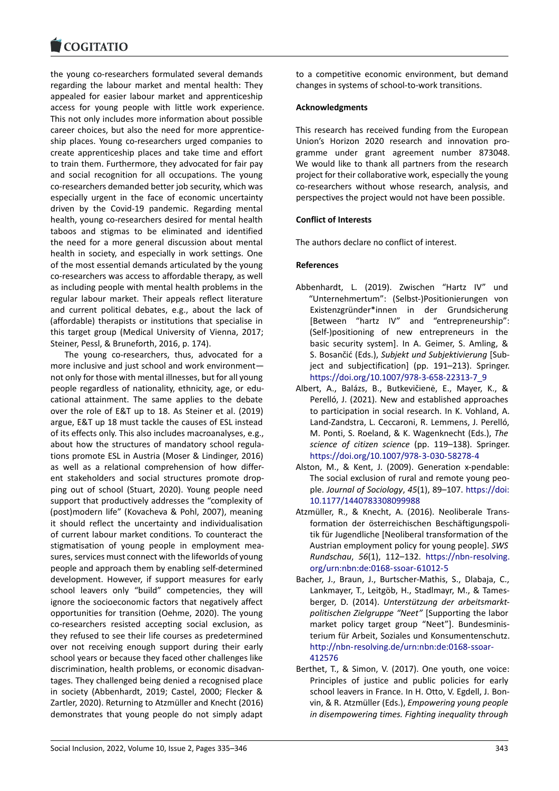#### **LOGITATIO**

the young co-researchers formulated several demands [regarding the labou](https://www.cogitatiopress.com)r market and mental health: They appealed for easier labour market and apprenticeship access for young people with little work experience. This not only includes more information about possible career choices, but also the need for more apprentice‐ ship places. Young co‐researchers urged companies to create apprenticeship places and take time and effort to train them. Furthermore, they advocated for fair pay and social recognition for all occupations. The young co‐researchers demanded better job security, which was especially urgent in the face of economic uncertainty driven by the Covid‐19 pandemic. Regarding mental health, young co-researchers desired for mental health taboos and stigmas to be eliminated and identified the need for a more general discussion about mental health in society, and especially in work settings. One of the most essential demands articulated by the young co‐researchers was access to affordable therapy, as well as including people with mental health problems in the regular labour market. Their appeals reflect literature and current political debates, e.g., about the lack of (affordable) therapists or institutions that specialise in this target group (Medical University of Vienna, 2017; Steiner, Pessl, & Bruneforth, 2016, p. 174).

The young co-researchers, thus, advocated for a more inclusive and just school and work environment not only for those with mental illnesses, but for all young people regardless of nationality, ethnicity, age, or edu‐ cational attainment. The same applies to the debate over the role of E&T up to 18. As Steiner et al. (2019) argue, E&T up 18 must tackle the causes of ESL instead of its effects only. This also includes macroanalyses, e.g., about how the structures of mandatory school regula‐ tions promote ESL in Austria (Moser & Lindinger, 2016) as well as a relational comprehension of how differ‐ ent stakeholders and social structures promote dropping out of school (Stuart, 2020). Young people need support that productively addresses the "complexity of (post)modern life" (Kovacheva & Pohl, 2007), meaning it should reflect the uncertainty and individualisation of current labour market conditions. To counteract the stigmatisation of young people in employment measures, services must connect with the lifeworlds of young people and approach them by enabling self‐determined development. However, if support measures for early school leavers only "build" competencies, they will ignore the socioeconomic factors that negatively affect opportunities for transition (Oehme, 2020). The young co‐researchers resisted accepting social exclusion, as they refused to see their life courses as predetermined over not receiving enough support during their early school years or because they faced other challenges like discrimination, health problems, or economic disadvan‐ tages. They challenged being denied a recognised place in society (Abbenhardt, 2019; Castel, 2000; Flecker & Zartler, 2020). Returning to Atzmüller and Knecht (2016) demonstrates that young people do not simply adapt

to a competitive economic environment, but demand changes in systems of school‐to‐work transitions.

## **Acknowledgments**

This research has received funding from the European Union's Horizon 2020 research and innovation pro‐ gramme under grant agreement number 873048. We would like to thank all partners from the research project for their collaborative work, especially the young co-researchers without whose research, analysis, and perspectives the project would not have been possible.

## **Conflict of Interests**

The authors declare no conflict of interest.

### **References**

- Abbenhardt, L. (2019). Zwischen "Hartz IV" und "Unternehmertum": (Selbst‐)Positionierungen von Existenzgründer\*innen in der Grundsicherung [Between "hartz IV" and "entrepreneurship": (Self‐)positioning of new entrepreneurs in the basic security system]. In A. Geimer, S. Amling, & S. Bosančić (Eds.), *Subjekt und Subjektivierung* [Sub‐ ject and subjectification] (pp. 191–213). Springer. https://doi.org/10.1007/978‐3‐658‐22313‐7\_9
- Albert, A., Balázs, B., Butkevičienė, E., Mayer, K., & Perelló, J. (2021). New and established approaches to participation in social research. In K. Vohland, A. [Land‐Zandstra, L. Ceccaroni, R. Lemmens, J. Pe](https://doi.org/10.1007/978-3-658-22313-7_9)relló, M. Ponti, S. Roeland, & K. Wagenknecht (Eds.), *The science of citizen science* (pp. 119–138). Springer. https://doi.org/10.1007/978‐3‐030‐58278‐4
- Alston, M., & Kent, J. (2009). Generation x‐pendable: The social exclusion of rural and remote young peo‐ ple. *Journal of Sociology*, *45*(1), 89–107. https://doi: [10.1177/1440783308099988](https://doi.org/10.1007/978-3-030-58278-4)
- Atzmüller, R., & Knecht, A. (2016). Neoliberale Trans‐ formation der österreichischen Beschäftigungspoli‐ tik für Jugendliche [Neoliberal transform[ation of the](https://doi:10.1177/1440783308099988) [Austrian employment policy f](https://doi:10.1177/1440783308099988)or young people]. *SWS Rundschau*, *56*(1), 112–132. https://nbn‐resolving. org/urn:nbn:de:0168‐ssoar‐61012‐5
- Bacher, J., Braun, J., Burtscher‐Mathis, S., Dlabaja, C., Lankmayer, T., Leitgöb, H., Stadlmayr, M., & Tames‐ berger, D. (2014). *Unterstütz[ung der arbeitsmarkt‐](https://nbn-resolving.org/urn:nbn:de:0168-ssoar-61012-5) [politischen Zielgruppe "Neet"](https://nbn-resolving.org/urn:nbn:de:0168-ssoar-61012-5)* [Supporting the labor market policy target group "Neet"]. Bundesminis‐ terium für Arbeit, Soziales und Konsumentenschutz. http://nbn‐resolving.de/urn:nbn:de:0168‐ssoar‐ 412576
- Berthet, T., & Simon, V. (2017). One youth, one voice: Principles of justice and public policies for early [school leavers in France. In H. Otto, V. Egdell, J. B](http://nbn-resolving.de/urn:nbn:de:0168-ssoar-412576)on[vin, & R](http://nbn-resolving.de/urn:nbn:de:0168-ssoar-412576). Atzmüller (Eds.), *Empowering young people in disempowering times. Fighting inequality through*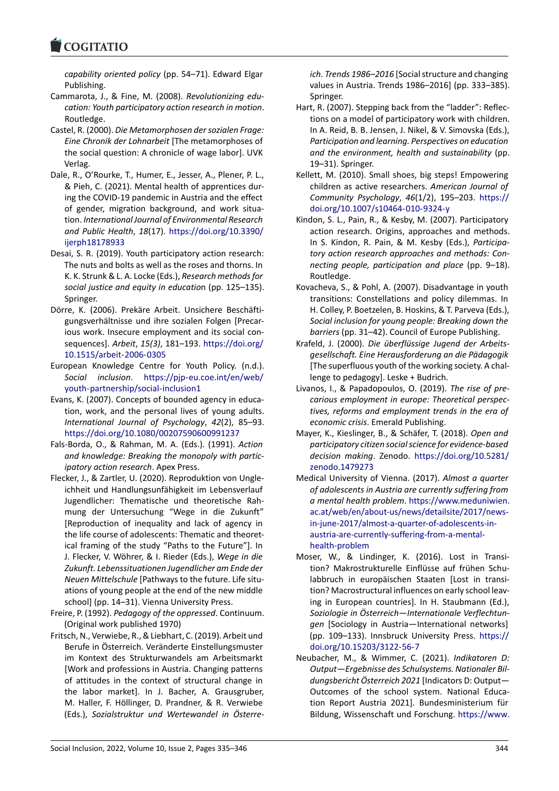### LOQUATIO

*capability oriented policy* (pp. 54–71). Edward Elgar Publishing.

- [Cammarota, J., & Fin](https://www.cogitatiopress.com)e, M. (2008). *Revolutionizing edu‐ cation: Youth participatory action research in motion*. Routledge.
- Castel, R. (2000). *Die Metamorphosen der sozialen Frage: Eine Chronik der Lohnarbeit* [The metamorphoses of the social question: A chronicle of wage labor]. UVK Verlag.
- Dale, R., O'Rourke, T., Humer, E., Jesser, A., Plener, P. L., & Pieh, C. (2021). Mental health of apprentices dur‐ ing the COVID‐19 pandemic in Austria and the effect of gender, migration background, and work situa‐ tion. *International Journal of Environmental Research and Public Health*, *18*(17). https://doi.org/10.3390/ ijerph18178933
- Desai, S. R. (2019). Youth participatory action research: The nuts and bolts as well as the roses and thorns. In K. K. Strunk & L. A. Locke (Eds.), *[Research methods for](https://doi.org/10.3390/ijerph18178933) [social justice an](https://doi.org/10.3390/ijerph18178933)d equity in educatio*n (pp. 125–135). Springer.
- Dörre, K. (2006). Prekäre Arbeit. Unsichere Beschäfti‐ gungsverhältnisse und ihre sozialen Folgen [Precar‐ ious work. Insecure employment and its social con‐ sequences]. *Arbeit*, *15(3)*, 181–193. https://doi.org/ 10.1515/arbeit‐2006‐0305
- European Knowledge Centre for Youth Policy. (n.d.). *Social inclusion*. https://pjp‐eu.coe.int/en/web/ youth‐partnership/social‐inclusion1
- Eva[ns, K. \(2007\). Concepts of b](https://doi.org/10.1515/arbeit-2006-0305)ounded agency in educa‐ tion, work, and the personal lives of young adults. *International Journ[al of Psychology](https://pjp-eu.coe.int/en/web/youth-partnership/social-inclusion1)*, *42*(2), 85–93. [https://doi.org/10.1080/002075906](https://pjp-eu.coe.int/en/web/youth-partnership/social-inclusion1)00991237
- Fals‐Borda, O., & Rahman, M. A. (Eds.). (1991). *Action and knowledge: Breaking the monopoly with partic‐ ipatory action research*. Apex Press.
- Fle[cker, J., & Zartler, U. \(2020\). Reproduktion von U](https://doi.org/10.1080/00207590600991237)ngle‐ ichheit und Handlungsunfähigkeit im Lebensverlauf Jugendlicher: Thematische und theoretische Rah‐ mung der Untersuchung "Wege in die Zukunft" [Reproduction of inequality and lack of agency in the life course of adolescents: Thematic and theoret‐ ical framing of the study "Paths to the Future"]. In J. Flecker, V. Wöhrer, & I. Rieder (Eds.), *Wege in die Zukunft. Lebenssituationen Jugendlicher am Ende der Neuen Mittelschule* [Pathways to the future. Life situ‐ ations of young people at the end of the new middle school] (pp. 14–31). Vienna University Press.
- Freire, P. (1992). *Pedagogy of the oppressed*. Continuum. (Original work published 1970)
- Fritsch, N., Verwiebe, R., & Liebhart, C. (2019). Arbeit und Berufe in Österreich. Veränderte Einstellungsmuster im Kontext des Strukturwandels am Arbeitsmarkt [Work and professions in Austria. Changing patterns of attitudes in the context of structural change in the labor market]. In J. Bacher, A. Grausgruber, M. Haller, F. Höllinger, D. Prandner, & R. Verwiebe (Eds.), *Sozialstruktur und Wertewandel in Österre‐*

*ich. Trends 1986–2016* [Social structure and changing values in Austria. Trends 1986–2016] (pp. 333–385). Springer.

- Hart, R. (2007). Stepping back from the "ladder": Reflec‐ tions on a model of participatory work with children. In A. Reid, B. B. Jensen, J. Nikel, & V. Simovska (Eds.), *Participation and learning. Perspectives on education and the environment, health and sustainability* (pp. 19–31). Springer.
- Kellett, M. (2010). Small shoes, big steps! Empowering children as active researchers. *American Journal of Community Psychology*, *46*(1/2), 195–203. https:// doi.org/10.1007/s10464‐010‐9324‐y
- Kindon, S. L., Pain, R., & Kesby, M. (2007). Participatory action research. Origins, approaches and methods. In S. Kindon, R. Pain, & M. Kesby (Eds.), *P[articipa‐](https://doi.org/10.1007/s10464-010-9324-y) [tory action research approaches and](https://doi.org/10.1007/s10464-010-9324-y) methods: Con‐ necting people, participation and place* (pp. 9–18). Routledge.
- Kovacheva, S., & Pohl, A. (2007). Disadvantage in youth transitions: Constellations and policy dilemmas. In H. Colley, P. Boetzelen, B. Hoskins, & T. Parveva (Eds.), *Social inclusion for young people: Breaking down the barriers* (pp. 31–42). Council of Europe Publishing.
- Krafeld, J. (2000). *Die überflüssige Jugend der Arbeits‐ gesellschaft. Eine Herausforderung an die Pädagogik* [The superfluous youth of the working society. A chal‐ lenge to pedagogy]. Leske + Budrich.
- Livanos, I., & Papadopoulos, O. (2019). *The rise of pre‐ carious employment in europe: Theoretical perspec‐ tives, reforms and employment trends in the era of economic crisis*. Emerald Publishing.
- Mayer, K., Kieslinger, B., & Schäfer, T. (2018). *Open and participatory citizen social science for evidence‐based decision making*. Zenodo. https://doi.org/10.5281/ zenodo.1479273
- Medical University of Vienna. (2017). *Almost a quarter of adolescents in Austria are currently suffering from a mental health problem*. h[ttps://www.meduniwien.](https://doi.org/10.5281/zenodo.1479273) [ac.at/web/en/ab](https://doi.org/10.5281/zenodo.1479273)out‐us/news/detailsite/2017/news‐ in‐june‐2017/almost‐a‐quarter‐of‐adolescents‐in‐ austria‐are‐currently‐suffering‐from‐a‐mental‐ health‐problem
- Mo[ser, W., & Lindinger, K. \(2016\). Lost in Transi‐](https://www.meduniwien.ac.at/web/en/about-us/news/detailsite/2017/news-in-june-2017/almost-a-quarter-of-adolescents-in-austria-are-currently-suffering-from-a-mental-health-problem) [tion? Makrostrukturelle Einflüsse auf frühen Sc](https://www.meduniwien.ac.at/web/en/about-us/news/detailsite/2017/news-in-june-2017/almost-a-quarter-of-adolescents-in-austria-are-currently-suffering-from-a-mental-health-problem)hu‐ [labbruch in europäischen Staaten \[Lost in](https://www.meduniwien.ac.at/web/en/about-us/news/detailsite/2017/news-in-june-2017/almost-a-quarter-of-adolescents-in-austria-are-currently-suffering-from-a-mental-health-problem) transi‐ [tion? Macrostru](https://www.meduniwien.ac.at/web/en/about-us/news/detailsite/2017/news-in-june-2017/almost-a-quarter-of-adolescents-in-austria-are-currently-suffering-from-a-mental-health-problem)ctural influences on early school leav‐ ing in European countries]. In H. Staubmann (Ed.), *Soziologie in Österreich—Internationale Verflechtun‐ gen* [Sociology in Austria—International networks] (pp. 109–133). Innsbruck University Press. https:// doi.org/10.15203/3122‐56‐7
- Neubacher, M., & Wimmer, C. (2021). *Indikatoren D: Output—Ergebnisse des Schulsystems. Nationaler Bil‐ dungsbericht Österreich 2021* [Indicators D: [Output—](https://doi.org/10.15203/3122-56-7) [Outcomes of the school sy](https://doi.org/10.15203/3122-56-7)stem. National Educa‐ tion Report Austria 2021]. Bundesministerium für Bildung, Wissenschaft und Forschung. https://www.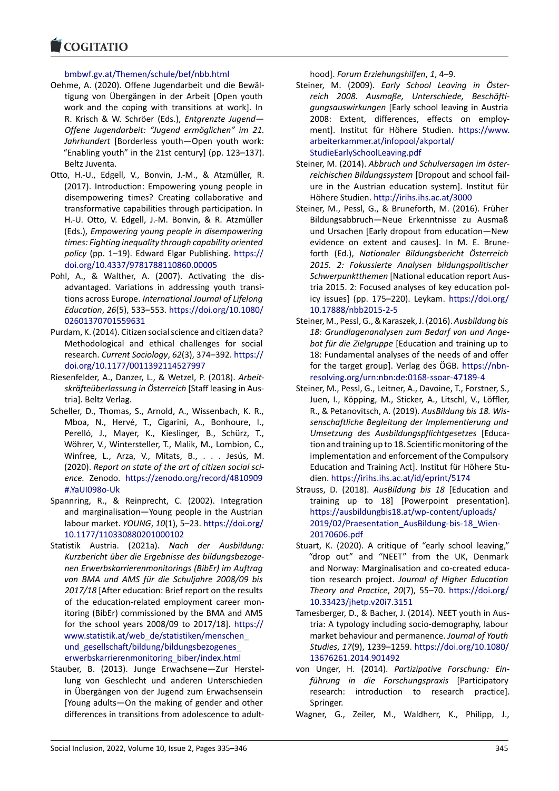# bmbwf.gv.at/Themen/schule/bef/nbb.html

- [Oehme, A. \(2020\). O](https://www.cogitatiopress.com)ffene Jugendarbeit und die Bewäl‐ tigung von Übergängen in der Arbeit [Open youth work and the coping with transitions at work]. In R. Krisch & W. Schröer (Eds.), *Entgrenzte Jugend— Offene Jugendarbeit: "Jugend ermöglichen" im 21. Jahrhundert* [Borderless youth—Open youth work: "Enabling youth" in the 21st century] (pp. 123–137). Beltz Juventa.
- Otto, H.‐U., Edgell, V., Bonvin, J.‐M., & Atzmüller, R. (2017). Introduction: Empowering young people in disempowering times? Creating collaborative and transformative capabilities through participation. In H.‐U. Otto, V. Edgell, J.‐M. Bonvin, & R. Atzmüller (Eds.), *Empowering young people in disempowering times: Fighting inequality through capability oriented policy* (pp. 1–19). Edward Elgar Publishing. https:// doi.org/10.4337/9781788110860.00005
- Pohl, A., & Walther, A. (2007). Activating the dis‐ advantaged. Variations in addressing youth transi‐ tions across Europe. *International Journal of [Lifelong](https://doi.org/10.4337/9781788110860.00005) Education*, *26*[\(5\), 533–553.](https://doi.org/10.4337/9781788110860.00005) https://doi.org/10.1080/ 02601370701559631
- Purdam, K. (2014). Citizen social science and citizen data? Methodological and ethical challenges for social research. *Current Sociology*, *62*[\(3\), 374–392.](https://doi.org/10.1080/02601370701559631) https:// [doi.org/10.1177/0011](https://doi.org/10.1080/02601370701559631)392114527997
- Riesenfelder, A., Danzer, L., & Wetzel, P. (2018). *Arbeit‐ skräfteüberlassung in Österreich* [Staff leasing in Aus‐ tria]. Beltz Verlag.
- Sch[eller, D., Thomas, S., Arnold, A., Wis](https://doi.org/10.1177/0011392114527997)senbach, K. R., Mboa, N., Hervé, T., Cigarini, A., Bonhoure, I., Perelló, J., Mayer, K., Kieslinger, B., Schürz, T., Wöhrer, V., Wintersteller, T., Malik, M., Lombion, C., Winfree, L., Arza, V., Mitats, B., . . . Jesús, M. (2020). *Report on state of the art of citizen social sci‐ ence.* Zenodo. https://zenodo.org/record/4810909 #.YaUI098o‐Uk
- Spannring, R., & Reinprecht, C. (2002). Integration and marginalisation—Young people in the Austrian labour market. *YOUNG*, *10*(1), 5–23. [https://doi.org/](https://zenodo.org/record/4810909#.YaUI098o-Uk) [10.1177/11033](https://zenodo.org/record/4810909#.YaUI098o-Uk)0880201000102
- Statistik Austria. (2021a). *Nach der Ausbildung: Kurzbericht über die Ergebnisse des bildungsbezoge‐ nen Erwerbskarrierenmonitorings (B[ibEr\) im Auftrag](https://doi.org/10.1177/110330880201000102) [von BMA und AMS für die Sch](https://doi.org/10.1177/110330880201000102)uljahre 2008/09 bis 2017/18* [After education: Brief report on the results of the education‐related employment career mon‐ itoring (BibEr) commissioned by the BMA and AMS for the school years 2008/09 to 2017/18]. https:// www.statistik.at/web\_de/statistiken/menschen\_ und\_gesellschaft/bildung/bildungsbezogenes\_ erwerbskarrierenmonitoring\_biber/index.html
- Stauber, B. (2013). Junge Erwachsene—Zur [Herstel‐](https://www.statistik.at/web_de/statistiken/menschen_und_gesellschaft/bildung/bildungsbezogenes_erwerbskarrierenmonitoring_biber/index.html) [lung von Geschlecht und anderen Unterschied](https://www.statistik.at/web_de/statistiken/menschen_und_gesellschaft/bildung/bildungsbezogenes_erwerbskarrierenmonitoring_biber/index.html)en [in Übergängen von der Jugend zum Erwachse](https://www.statistik.at/web_de/statistiken/menschen_und_gesellschaft/bildung/bildungsbezogenes_erwerbskarrierenmonitoring_biber/index.html)nsein [\[Young adults—On the making of gender and](https://www.statistik.at/web_de/statistiken/menschen_und_gesellschaft/bildung/bildungsbezogenes_erwerbskarrierenmonitoring_biber/index.html) other differences in transitions from adolescence to adult‐

hood]. *Forum Erziehungshilfen*, *1*, 4–9.

- Steiner, M. (2009). *Early School Leaving in Öster‐ reich 2008. Ausmaße, Unterschiede, Beschäfti‐ gungsauswirkungen* [Early school leaving in Austria 2008: Extent, differences, effects on employ‐ ment]. Institut für Höhere Studien. https://www. arbeiterkammer.at/infopool/akportal/ StudieEarlySchoolLeaving.pdf
- Steiner, M. (2014). *Abbruch und Schulversagen im öster‐ reichischen Bildungssystem* [Dropout a[nd school fail‐](https://www.arbeiterkammer.at/infopool/akportal/StudieEarlySchoolLeaving.pdf) [ure in the Austrian education system](https://www.arbeiterkammer.at/infopool/akportal/StudieEarlySchoolLeaving.pdf)]. Institut für [Höhere Studien.](https://www.arbeiterkammer.at/infopool/akportal/StudieEarlySchoolLeaving.pdf) http://irihs.ihs.ac.at/3000
- Steiner, M., Pessl, G., & Bruneforth, M. (2016). Früher Bildungsabbruch—Neue Erkenntnisse zu Ausmaß und Ursachen [Early dropout from education—New evidence on ex[tent and causes\]. In M.](http://irihs.ihs.ac.at/3000) E. Brune‐ forth (Ed.), *Nationaler Bildungsbericht Österreich 2015. 2: Fokussierte Analysen bildungspolitischer Schwerpunktthemen* [National education report Aus‐ tria 2015. 2: Focused analyses of key education pol‐ icy issues] (pp. 175–220). Leykam. https://doi.org/ 10.17888/nbb2015‐2‐5
- Steiner, M., Pessl, G., & Karaszek, J. (2016). *Ausbildung bis 18: Grundlagenanalysen zum Bedarf von und Ange‐ bot für die Zielgruppe* [Education an[d training up to](https://doi.org/10.17888/nbb2015-2-5) [18: Fundamental analys](https://doi.org/10.17888/nbb2015-2-5)es of the needs of and offer for the target group]. Verlag des ÖGB. https://nbn‐ resolving.org/urn:nbn:de:0168‐ssoar‐47189‐4
- Steiner, M., Pessl, G., Leitner, A., Davoine, T., Forstner, S., Juen, I., Köpping, M., Sticker, A., Litschl, V., Löffler, R., & Petanovitsch, A. (2019). *AusBildun[g bis 18. Wis‐](https://nbn-resolving.org/urn:nbn:de:0168-ssoar-47189-4) [senschaftliche Begleitung der Implementierun](https://nbn-resolving.org/urn:nbn:de:0168-ssoar-47189-4)g und Umsetzung des Ausbildungspflichtgesetzes* [Educa‐ tion and training up to 18. Scientific monitoring of the implementation and enforcement of the Compulsory Education and Training Act]. Institut für Höhere Stu‐ dien. https://irihs.ihs.ac.at/id/eprint/5174
- Strauss, D. (2018). *AusBildung bis 18* [Education and training up to 18] [Powerpoint presentation]. https://ausbildungbis18.at/wp‐content/uploads/ 2019/02/Praesentation AusBildung-bis-18 Wien-20170606.pdf
- Stuart, K. (2020). A critique of "early school leaving," ["drop out" and "NEET" from the UK, Denma](https://ausbildungbis18.at/wp-content/uploads/2019/02/Praesentation_AusBildung-bis-18_Wien-20170606.pdf)rk [and Norway: Marginalisation and co‐created educ](https://ausbildungbis18.at/wp-content/uploads/2019/02/Praesentation_AusBildung-bis-18_Wien-20170606.pdf)a‐ [tion research](https://ausbildungbis18.at/wp-content/uploads/2019/02/Praesentation_AusBildung-bis-18_Wien-20170606.pdf) project. *Journal of Higher Education Theory and Practice*, *20*(7), 55–70. https://doi.org/ 10.33423/jhetp.v20i7.3151
- Tamesberger, D., & Bacher, J. (2014). NEET youth in Aus‐ tria: A typology including socio‐demography, labour market behaviour and permanence. *[Journal of Youth](https://doi.org/10.33423/jhetp.v20i7.3151) Studies*, *17*[\(9\), 1239–1259.](https://doi.org/10.33423/jhetp.v20i7.3151) https://doi.org/10.1080/ 13676261.2014.901492
- von Unger, H. (2014). *Partizipative Forschung: Ein‐ führung in die Forschungspraxis* [Participatory research: introduction [to research practice\].](https://doi.org/10.1080/13676261.2014.901492) [Springer.](https://doi.org/10.1080/13676261.2014.901492)
- Wagner, G., Zeiler, M., Waldherr, K., Philipp, J.,